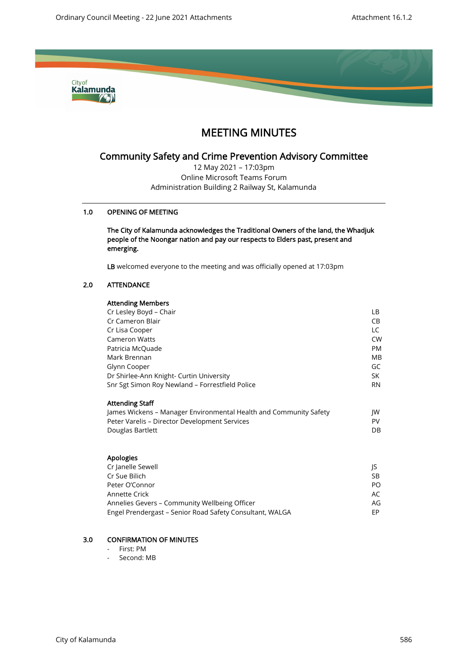

# MEETING MINUTES

## Community Safety and Crime Prevention Advisory Committee

12 May 2021 – 17:03pm Online Microsoft Teams Forum Administration Building 2 Railway St, Kalamunda

## 1.0 OPENING OF MEETING

The City of Kalamunda acknowledges the Traditional Owners of the land, the Whadjuk people of the Noongar nation and pay our respects to Elders past, present and emerging.

LB welcomed everyone to the meeting and was officially opened at 17:03pm

## 2.0 ATTENDANCE

## Attending Members Cr Lesley Boyd – Chair LB Cr Cameron Blair CB Cr Lisa Cooper LC Cameron Watts CW Patricia McQuade **PM** Mark Brennan MB Glynn Cooper GC Dr Shirlee-Ann Knight- Curtin University SK Snr Sgt Simon Roy Newland – Forrestfield Police RN Attending Staff James Wickens – Manager Environmental Health and Community Safety JW Peter Varelis – Director Development Services PV Douglas Bartlett DB Apologies

| Cr Janelle Sewell                                        |           |
|----------------------------------------------------------|-----------|
| Cr Sue Bilich                                            | <b>SB</b> |
| Peter O'Connor                                           | PO        |
| Annette Crick                                            | AC        |
| Annelies Gevers - Community Wellbeing Officer            | AG        |
| Engel Prendergast - Senior Road Safety Consultant, WALGA | FP.       |

## 3.0 CONFIRMATION OF MINUTES

- First: PM
- Second: MB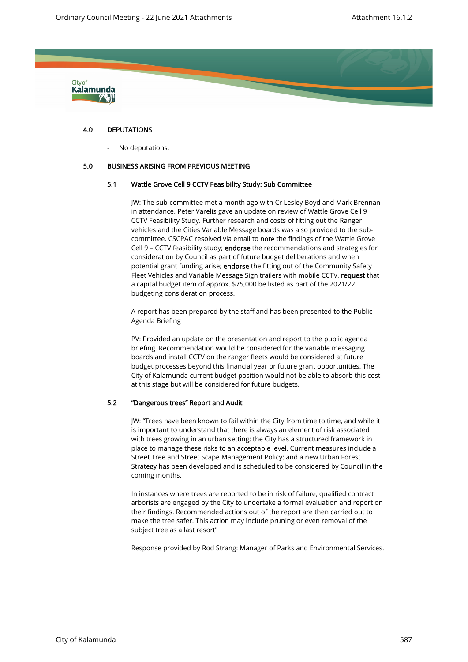

## 4.0 DEPUTATIONS

No deputations.

#### 5.0 BUSINESS ARISING FROM PREVIOUS MEETING

## 5.1 Wattle Grove Cell 9 CCTV Feasibility Study: Sub Committee

JW: The sub-committee met a month ago with Cr Lesley Boyd and Mark Brennan in attendance. Peter Varelis gave an update on review of Wattle Grove Cell 9 CCTV Feasibility Study. Further research and costs of fitting out the Ranger vehicles and the Cities Variable Message boards was also provided to the subcommittee. CSCPAC resolved via email to note the findings of the Wattle Grove Cell 9 – CCTV feasibility study; endorse the recommendations and strategies for consideration by Council as part of future budget deliberations and when potential grant funding arise; endorse the fitting out of the Community Safety Fleet Vehicles and Variable Message Sign trailers with mobile CCTV, request that a capital budget item of approx. \$75,000 be listed as part of the 2021/22 budgeting consideration process.

A report has been prepared by the staff and has been presented to the Public Agenda Briefing

PV: Provided an update on the presentation and report to the public agenda briefing. Recommendation would be considered for the variable messaging boards and install CCTV on the ranger fleets would be considered at future budget processes beyond this financial year or future grant opportunities. The City of Kalamunda current budget position would not be able to absorb this cost at this stage but will be considered for future budgets.

## 5.2 "Dangerous trees" Report and Audit

JW: "Trees have been known to fail within the City from time to time, and while it is important to understand that there is always an element of risk associated with trees growing in an urban setting; the City has a structured framework in place to manage these risks to an acceptable level. Current measures include a Street Tree and Street Scape Management Policy; and a new Urban Forest Strategy has been developed and is scheduled to be considered by Council in the coming months.

In instances where trees are reported to be in risk of failure, qualified contract arborists are engaged by the City to undertake a formal evaluation and report on their findings. Recommended actions out of the report are then carried out to make the tree safer. This action may include pruning or even removal of the subject tree as a last resort"

Response provided by Rod Strang: Manager of Parks and Environmental Services.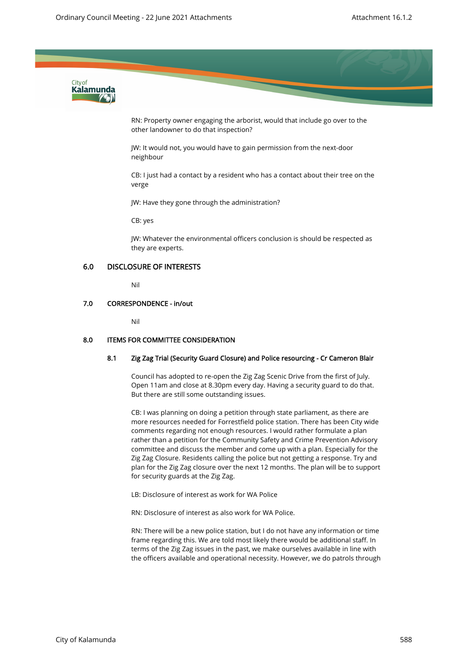

RN: Property owner engaging the arborist, would that include go over to the other landowner to do that inspection?

JW: It would not, you would have to gain permission from the next-door neighbour

CB: I just had a contact by a resident who has a contact about their tree on the verge

JW: Have they gone through the administration?

CB: yes

JW: Whatever the environmental officers conclusion is should be respected as they are experts.

## 6.0 DISCLOSURE OF INTERESTS

Nil

## 7.0 CORRESPONDENCE - in/out

Nil

#### 8.0 ITEMS FOR COMMITTEE CONSIDERATION

## 8.1 Zig Zag Trial (Security Guard Closure) and Police resourcing - Cr Cameron Blair

Council has adopted to re-open the Zig Zag Scenic Drive from the first of July. Open 11am and close at 8.30pm every day. Having a security guard to do that. But there are still some outstanding issues.

CB: I was planning on doing a petition through state parliament, as there are more resources needed for Forrestfield police station. There has been City wide comments regarding not enough resources. I would rather formulate a plan rather than a petition for the Community Safety and Crime Prevention Advisory committee and discuss the member and come up with a plan. Especially for the Zig Zag Closure. Residents calling the police but not getting a response. Try and plan for the Zig Zag closure over the next 12 months. The plan will be to support for security guards at the Zig Zag.

LB: Disclosure of interest as work for WA Police

RN: Disclosure of interest as also work for WA Police.

RN: There will be a new police station, but I do not have any information or time frame regarding this. We are told most likely there would be additional staff. In terms of the Zig Zag issues in the past, we make ourselves available in line with the officers available and operational necessity. However, we do patrols through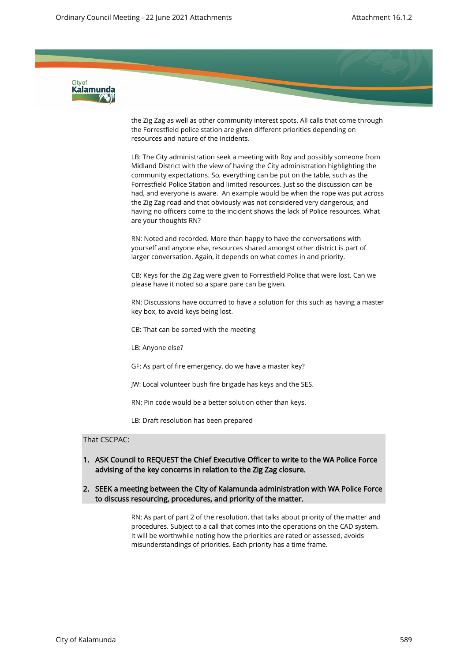

the Zig Zag as well as other community interest spots. All calls that come through the Forrestfield police station are given different priorities depending on resources and nature of the incidents.

LB: The City administration seek a meeting with Roy and possibly someone from Midland District with the view of having the City administration highlighting the community expectations. So, everything can be put on the table, such as the Forrestfield Police Station and limited resources. Just so the discussion can be had, and everyone is aware. An example would be when the rope was put across the Zig Zag road and that obviously was not considered very dangerous, and having no officers come to the incident shows the lack of Police resources. What are your thoughts RN?

RN: Noted and recorded. More than happy to have the conversations with yourself and anyone else, resources shared amongst other district is part of larger conversation. Again, it depends on what comes in and priority.

CB: Keys for the Zig Zag were given to Forrestfield Police that were lost. Can we please have it noted so a spare pare can be given.

RN: Discussions have occurred to have a solution for this such as having a master key box, to avoid keys being lost.

CB: That can be sorted with the meeting

LB: Anyone else?

GF: As part of fire emergency, do we have a master key?

JW: Local volunteer bush fire brigade has keys and the SES.

RN: Pin code would be a better solution other than keys.

LB: Draft resolution has been prepared

## That CSCPAC:

- 1. ASK Council to REQUEST the Chief Executive Officer to write to the WA Police Force advising of the key concerns in relation to the Zig Zag closure.
- 2. SEEK a meeting between the City of Kalamunda administration with WA Police Force to discuss resourcing, procedures, and priority of the matter.

RN: As part of part 2 of the resolution, that talks about priority of the matter and procedures. Subject to a call that comes into the operations on the CAD system. It will be worthwhile noting how the priorities are rated or assessed, avoids misunderstandings of priorities. Each priority has a time frame.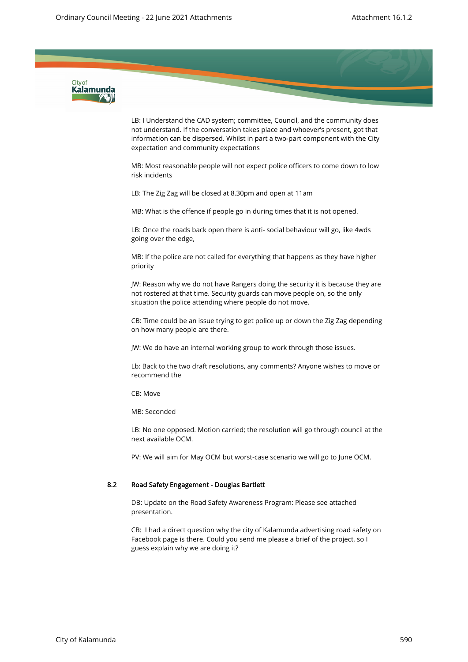

LB: I Understand the CAD system; committee, Council, and the community does not understand. If the conversation takes place and whoever's present, got that information can be dispersed. Whilst in part a two-part component with the City expectation and community expectations

MB: Most reasonable people will not expect police officers to come down to low risk incidents

LB: The Zig Zag will be closed at 8.30pm and open at 11am

MB: What is the offence if people go in during times that it is not opened.

LB: Once the roads back open there is anti- social behaviour will go, like 4wds going over the edge,

MB: If the police are not called for everything that happens as they have higher priority

JW: Reason why we do not have Rangers doing the security it is because they are not rostered at that time. Security guards can move people on, so the only situation the police attending where people do not move.

CB: Time could be an issue trying to get police up or down the Zig Zag depending on how many people are there.

JW: We do have an internal working group to work through those issues.

Lb: Back to the two draft resolutions, any comments? Anyone wishes to move or recommend the

CB: Move

MB: Seconded

LB: No one opposed. Motion carried; the resolution will go through council at the next available OCM.

PV: We will aim for May OCM but worst-case scenario we will go to June OCM.

### 8.2 Road Safety Engagement - Douglas Bartlett

DB: Update on the Road Safety Awareness Program: Please see attached presentation.

CB: I had a direct question why the city of Kalamunda advertising road safety on Facebook page is there. Could you send me please a brief of the project, so I guess explain why we are doing it?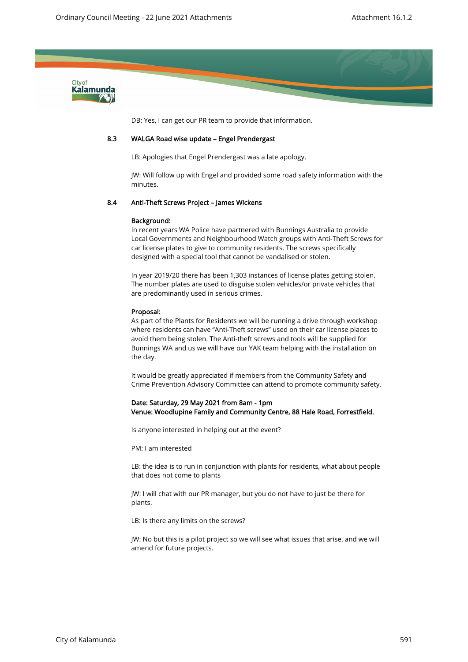

DB: Yes, I can get our PR team to provide that information.

#### 8.3 WALGA Road wise update – Engel Prendergast

LB: Apologies that Engel Prendergast was a late apology.

JW: Will follow up with Engel and provided some road safety information with the minutes.

#### 8.4 Anti-Theft Screws Project – James Wickens

#### Background:

In recent years WA Police have partnered with Bunnings Australia to provide Local Governments and Neighbourhood Watch groups with Anti-Theft Screws for car license plates to give to community residents. The screws specifically designed with a special tool that cannot be vandalised or stolen.

In year 2019/20 there has been 1,303 instances of license plates getting stolen. The number plates are used to disguise stolen vehicles/or private vehicles that are predominantly used in serious crimes.

#### Proposal:

As part of the Plants for Residents we will be running a drive through workshop where residents can have "Anti-Theft screws" used on their car license places to avoid them being stolen. The Anti-theft screws and tools will be supplied for Bunnings WA and us we will have our YAK team helping with the installation on the day.

It would be greatly appreciated if members from the Community Safety and Crime Prevention Advisory Committee can attend to promote community safety.

#### Date: Saturday, 29 May 2021 from 8am - 1pm Venue: Woodlupine Family and Community Centre, 88 Hale Road, Forrestfield.

Is anyone interested in helping out at the event?

PM: I am interested

LB: the idea is to run in conjunction with plants for residents, what about people that does not come to plants

JW: I will chat with our PR manager, but you do not have to just be there for plants.

LB: Is there any limits on the screws?

JW: No but this is a pilot project so we will see what issues that arise, and we will amend for future projects.